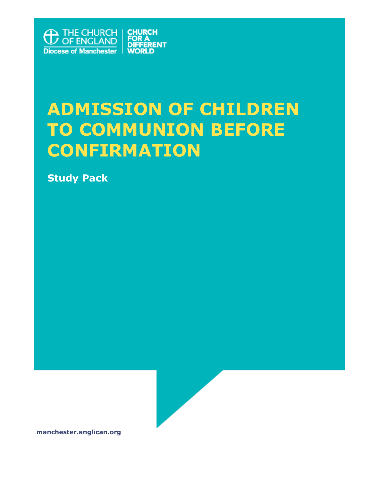

# ADI ILUULUN UI UITLEDIN<br>Ta Cammiinitan Beeab **TO COMMUNION BEFORE ADMISSION OF CHILDREN CONFIRMATION**

**Study Pack**



**manchester.anglican.org**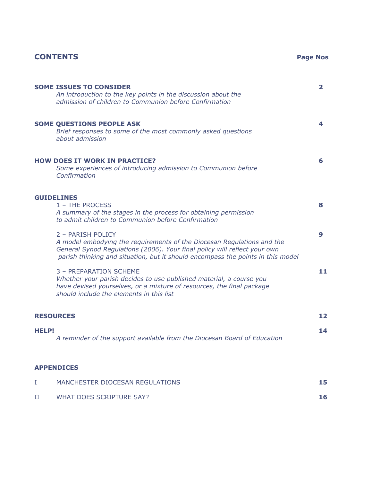# **CONTENTS Page Nos**

| <b>SOME ISSUES TO CONSIDER</b><br>An introduction to the key points in the discussion about the<br>admission of children to Communion before Confirmation                                                                                                   | $\mathbf{z}$ |  |  |
|-------------------------------------------------------------------------------------------------------------------------------------------------------------------------------------------------------------------------------------------------------------|--------------|--|--|
| <b>SOME QUESTIONS PEOPLE ASK</b><br>Brief responses to some of the most commonly asked questions<br>about admission                                                                                                                                         | 4            |  |  |
| <b>HOW DOES IT WORK IN PRACTICE?</b><br>Some experiences of introducing admission to Communion before<br>Confirmation                                                                                                                                       | 6.           |  |  |
| <b>GUIDELINES</b><br>1 - THE PROCESS<br>A summary of the stages in the process for obtaining permission<br>to admit children to Communion before Confirmation                                                                                               | 8            |  |  |
| 2 - PARISH POLICY<br>A model embodying the requirements of the Diocesan Regulations and the<br>General Synod Regulations (2006). Your final policy will reflect your own<br>parish thinking and situation, but it should encompass the points in this model | 9            |  |  |
| 3 - PREPARATION SCHEME<br>Whether your parish decides to use published material, a course you<br>have devised yourselves, or a mixture of resources, the final package<br>should include the elements in this list                                          | 11           |  |  |
| <b>RESOURCES</b>                                                                                                                                                                                                                                            | 12           |  |  |
| <b>HELP!</b><br>A reminder of the support available from the Diocesan Board of Education                                                                                                                                                                    | 14           |  |  |
| <b>APPENDICES</b>                                                                                                                                                                                                                                           |              |  |  |

| MANCHESTER DIOCESAN REGULATIONS | 15 |
|---------------------------------|----|
| WHAT DOES SCRIPTURE SAY?        | 16 |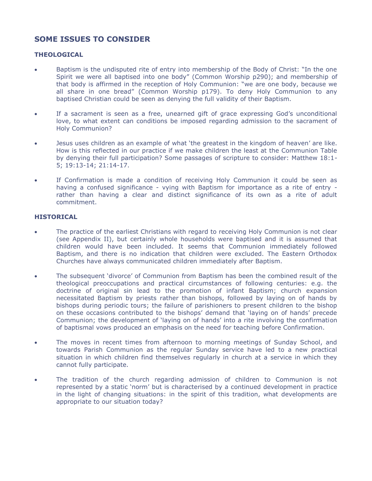# **SOME ISSUES TO CONSIDER**

#### **THEOLOGICAL**

- Baptism is the undisputed rite of entry into membership of the Body of Christ: "In the one Spirit we were all baptised into one body" (Common Worship p290); and membership of that body is affirmed in the reception of Holy Communion: "we are one body, because we all share in one bread" (Common Worship p179). To deny Holy Communion to any baptised Christian could be seen as denying the full validity of their Baptism.
- If a sacrament is seen as a free, unearned gift of grace expressing God's unconditional love, to what extent can conditions be imposed regarding admission to the sacrament of Holy Communion?
- Jesus uses children as an example of what 'the greatest in the kingdom of heaven' are like. How is this reflected in our practice if we make children the least at the Communion Table by denying their full participation? Some passages of scripture to consider: Matthew 18:1- 5; 19:13-14; 21:14-17.
- If Confirmation is made a condition of receiving Holy Communion it could be seen as having a confused significance - vying with Baptism for importance as a rite of entry rather than having a clear and distinct significance of its own as a rite of adult commitment.

### **HISTORICAL**

- The practice of the earliest Christians with regard to receiving Holy Communion is not clear (see Appendix II), but certainly whole households were baptised and it is assumed that children would have been included. It seems that Communion immediately followed Baptism, and there is no indication that children were excluded. The Eastern Orthodox Churches have always communicated children immediately after Baptism.
- The subsequent 'divorce' of Communion from Baptism has been the combined result of the theological preoccupations and practical circumstances of following centuries: e.g. the doctrine of original sin lead to the promotion of infant Baptism; church expansion necessitated Baptism by priests rather than bishops, followed by laying on of hands by bishops during periodic tours; the failure of parishioners to present children to the bishop on these occasions contributed to the bishops' demand that 'laying on of hands' precede Communion; the development of 'laying on of hands' into a rite involving the confirmation of baptismal vows produced an emphasis on the need for teaching before Confirmation.
- The moves in recent times from afternoon to morning meetings of Sunday School, and towards Parish Communion as the regular Sunday service have led to a new practical situation in which children find themselves regularly in church at a service in which they cannot fully participate.
- The tradition of the church regarding admission of children to Communion is not represented by a static 'norm' but is characterised by a continued development in practice in the light of changing situations: in the spirit of this tradition, what developments are appropriate to our situation today?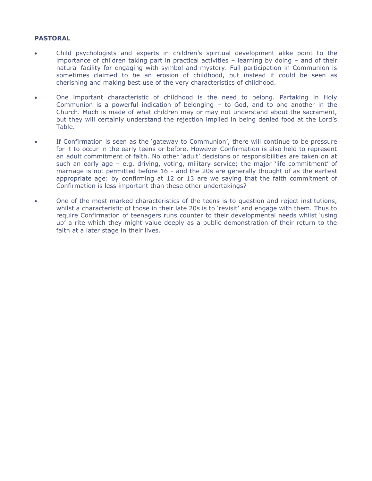#### **PASTORAL**

- Child psychologists and experts in children's spiritual development alike point to the importance of children taking part in practical activities – learning by doing – and of their natural facility for engaging with symbol and mystery. Full participation in Communion is sometimes claimed to be an erosion of childhood, but instead it could be seen as cherishing and making best use of the very characteristics of childhood.
- One important characteristic of childhood is the need to belong. Partaking in Holy Communion is a powerful indication of belonging – to God, and to one another in the Church. Much is made of what children may or may not understand about the sacrament, but they will certainly understand the rejection implied in being denied food at the Lord's Table.
- If Confirmation is seen as the 'gateway to Communion', there will continue to be pressure for it to occur in the early teens or before. However Confirmation is also held to represent an adult commitment of faith. No other 'adult' decisions or responsibilities are taken on at such an early age – e.g. driving, voting, military service; the major 'life commitment' of marriage is not permitted before 16 - and the 20s are generally thought of as the earliest appropriate age: by confirming at 12 or 13 are we saying that the faith commitment of Confirmation is less important than these other undertakings?
- One of the most marked characteristics of the teens is to question and reject institutions, whilst a characteristic of those in their late 20s is to 'revisit' and engage with them. Thus to require Confirmation of teenagers runs counter to their developmental needs whilst 'using up' a rite which they might value deeply as a public demonstration of their return to the faith at a later stage in their lives.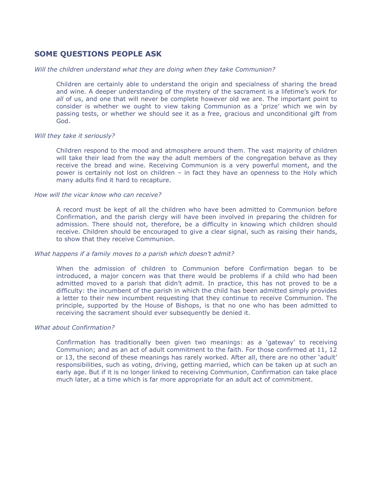# **SOME QUESTIONS PEOPLE ASK**

#### *Will the children understand what they are doing when they take Communion?*

Children are certainly able to understand the origin and specialness of sharing the bread and wine. A deeper understanding of the mystery of the sacrament is a lifetime's work for *all* of us, and one that will never be complete however old we are. The important point to consider is whether we ought to view taking Communion as a 'prize' which we win by passing tests, or whether we should see it as a free, gracious and unconditional gift from God.

#### *Will they take it seriously?*

Children respond to the mood and atmosphere around them. The vast majority of children will take their lead from the way the adult members of the congregation behave as they receive the bread and wine. Receiving Communion is a very powerful moment, and the power is certainly not lost on children – in fact they have an openness to the Holy which many adults find it hard to recapture.

#### *How will the vicar know who can receive?*

A record must be kept of all the children who have been admitted to Communion before Confirmation, and the parish clergy will have been involved in preparing the children for admission. There should not, therefore, be a difficulty in knowing which children should receive. Children should be encouraged to give a clear signal, such as raising their hands, to show that they receive Communion.

#### *What happens if a family moves to a parish which doesn't admit?*

When the admission of children to Communion before Confirmation began to be introduced, a major concern was that there would be problems if a child who had been admitted moved to a parish that didn't admit. In practice, this has not proved to be a difficulty: the incumbent of the parish in which the child has been admitted simply provides a letter to their new incumbent requesting that they continue to receive Communion. The principle, supported by the House of Bishops, is that no one who has been admitted to receiving the sacrament should ever subsequently be denied it.

#### *What about Confirmation?*

Confirmation has traditionally been given two meanings: as a 'gateway' to receiving Communion; and as an act of adult commitment to the faith. For those confirmed at 11, 12 or 13, the second of these meanings has rarely worked. After all, there are no other 'adult' responsibilities, such as voting, driving, getting married, which can be taken up at such an early age. But if it is no longer linked to receiving Communion, Confirmation can take place much later, at a time which is far more appropriate for an adult act of commitment.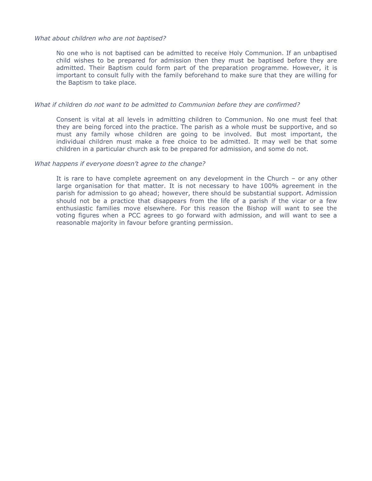#### *What about children who are not baptised?*

No one who is not baptised can be admitted to receive Holy Communion. If an unbaptised child wishes to be prepared for admission then they must be baptised before they are admitted. Their Baptism could form part of the preparation programme. However, it is important to consult fully with the family beforehand to make sure that they are willing for the Baptism to take place.

#### *What if children do not want to be admitted to Communion before they are confirmed?*

Consent is vital at all levels in admitting children to Communion. No one must feel that they are being forced into the practice. The parish as a whole must be supportive, and so must any family whose children are going to be involved. But most important, the individual children must make a free choice to be admitted. It may well be that some children in a particular church ask to be prepared for admission, and some do not.

#### *What happens if everyone doesn't agree to the change?*

It is rare to have complete agreement on any development in the Church – or any other large organisation for that matter. It is not necessary to have 100% agreement in the parish for admission to go ahead; however, there should be substantial support. Admission should not be a practice that disappears from the life of a parish if the vicar or a few enthusiastic families move elsewhere. For this reason the Bishop will want to see the voting figures when a PCC agrees to go forward with admission, and will want to see a reasonable majority in favour before granting permission.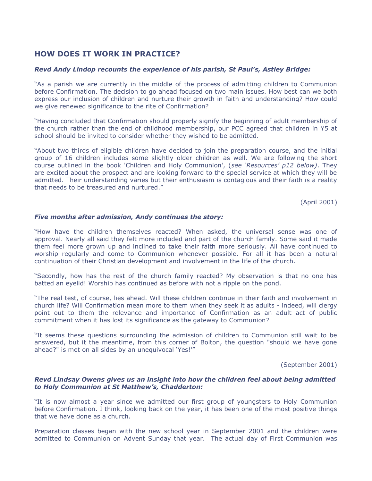# **HOW DOES IT WORK IN PRACTICE?**

#### *Revd Andy Lindop recounts the experience of his parish, St Paul's, Astley Bridge:*

"As a parish we are currently in the middle of the process of admitting children to Communion before Confirmation. The decision to go ahead focused on two main issues. How best can we both express our inclusion of children and nurture their growth in faith and understanding? How could we give renewed significance to the rite of Confirmation?

"Having concluded that Confirmation should properly signify the beginning of adult membership of the church rather than the end of childhood membership, our PCC agreed that children in Y5 at school should be invited to consider whether they wished to be admitted.

"About two thirds of eligible children have decided to join the preparation course, and the initial group of 16 children includes some slightly older children as well. We are following the short course outlined in the book 'Children and Holy Communion', (*see 'Resources' p12 below)*. They are excited about the prospect and are looking forward to the special service at which they will be admitted. Their understanding varies but their enthusiasm is contagious and their faith is a reality that needs to be treasured and nurtured."

(April 2001)

#### *Five months after admission, Andy continues the story:*

"How have the children themselves reacted? When asked, the universal sense was one of approval. Nearly all said they felt more included and part of the church family. Some said it made them feel more grown up and inclined to take their faith more seriously. All have continued to worship regularly and come to Communion whenever possible. For all it has been a natural continuation of their Christian development and involvement in the life of the church.

"Secondly, how has the rest of the church family reacted? My observation is that no one has batted an eyelid! Worship has continued as before with not a ripple on the pond.

"The real test, of course, lies ahead. Will these children continue in their faith and involvement in church life? Will Confirmation mean more to them when they seek it as adults - indeed, will clergy point out to them the relevance and importance of Confirmation as an adult act of public commitment when it has lost its significance as the gateway to Communion?

"It seems these questions surrounding the admission of children to Communion still wait to be answered, but it the meantime, from this corner of Bolton, the question "should we have gone ahead?" is met on all sides by an unequivocal 'Yes!'"

(September 2001)

#### *Revd Lindsay Owens gives us an insight into how the children feel about being admitted to Holy Communion at St Matthew's, Chadderton:*

"It is now almost a year since we admitted our first group of youngsters to Holy Communion before Confirmation. I think, looking back on the year, it has been one of the most positive things that we have done as a church.

Preparation classes began with the new school year in September 2001 and the children were admitted to Communion on Advent Sunday that year. The actual day of First Communion was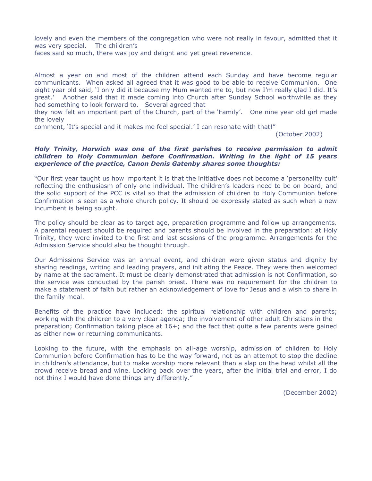lovely and even the members of the congregation who were not really in favour, admitted that it was very special. The children's

faces said so much, there was joy and delight and yet great reverence.

Almost a year on and most of the children attend each Sunday and have become regular communicants. When asked all agreed that it was good to be able to receive Communion. One eight year old said, 'I only did it because my Mum wanted me to, but now I'm really glad I did. It's great.' Another said that it made coming into Church after Sunday School worthwhile as they had something to look forward to. Several agreed that

they now felt an important part of the Church, part of the 'Family'. One nine year old girl made the lovely

comment, 'It's special and it makes me feel special.' I can resonate with that!"

(October 2002)

#### *Holy Trinity, Horwich was one of the first parishes to receive permission to admit children to Holy Communion before Confirmation. Writing in the light of 15 years experience of the practice, Canon Denis Gatenby shares some thoughts:*

"Our first year taught us how important it is that the initiative does not become a 'personality cult' reflecting the enthusiasm of only one individual. The children's leaders need to be on board, and the solid support of the PCC is vital so that the admission of children to Holy Communion before Confirmation is seen as a whole church policy. It should be expressly stated as such when a new incumbent is being sought.

The policy should be clear as to target age, preparation programme and follow up arrangements. A parental request should be required and parents should be involved in the preparation: at Holy Trinity, they were invited to the first and last sessions of the programme. Arrangements for the Admission Service should also be thought through.

Our Admissions Service was an annual event, and children were given status and dignity by sharing readings, writing and leading prayers, and initiating the Peace. They were then welcomed by name at the sacrament. It must be clearly demonstrated that admission is not Confirmation, so the service was conducted by the parish priest. There was no requirement for the children to make a statement of faith but rather an acknowledgement of love for Jesus and a wish to share in the family meal.

Benefits of the practice have included: the spiritual relationship with children and parents; working with the children to a very clear agenda; the involvement of other adult Christians in the preparation; Confirmation taking place at 16+; and the fact that quite a few parents were gained as either new or returning communicants.

Looking to the future, with the emphasis on all-age worship, admission of children to Holy Communion before Confirmation has to be the way forward, not as an attempt to stop the decline in children's attendance, but to make worship more relevant than a slap on the head whilst all the crowd receive bread and wine. Looking back over the years, after the initial trial and error, I do not think I would have done things any differently."

(December 2002)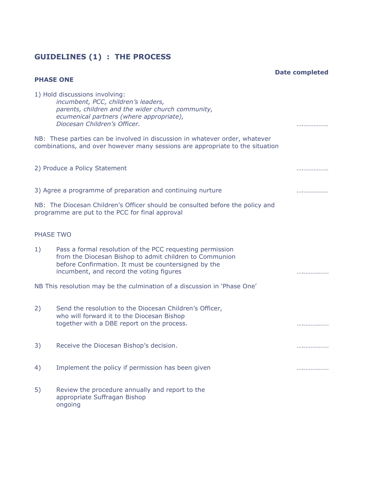# **GUIDELINES (1) : THE PROCESS**

**Date completed**

| <b>PHASE ONE</b> |                                                                                                                                                                                                                          |              |
|------------------|--------------------------------------------------------------------------------------------------------------------------------------------------------------------------------------------------------------------------|--------------|
|                  | 1) Hold discussions involving:<br>incumbent, PCC, children's leaders,<br>parents, children and the wider church community,<br>ecumenical partners (where appropriate),<br>Diocesan Children's Officer.                   | .            |
|                  | NB: These parties can be involved in discussion in whatever order, whatever<br>combinations, and over however many sessions are appropriate to the situation                                                             |              |
|                  | 2) Produce a Policy Statement                                                                                                                                                                                            | .            |
|                  | 3) Agree a programme of preparation and continuing nurture                                                                                                                                                               | . <i>.</i> . |
|                  | NB: The Diocesan Children's Officer should be consulted before the policy and<br>programme are put to the PCC for final approval                                                                                         |              |
| PHASE TWO        |                                                                                                                                                                                                                          |              |
| 1)               | Pass a formal resolution of the PCC requesting permission<br>from the Diocesan Bishop to admit children to Communion<br>before Confirmation. It must be countersigned by the<br>incumbent, and record the voting figures |              |
|                  | NB This resolution may be the culmination of a discussion in 'Phase One'                                                                                                                                                 |              |
| 2)               | Send the resolution to the Diocesan Children's Officer,<br>who will forward it to the Diocesan Bishop<br>together with a DBE report on the process.                                                                      |              |
| 3)               | Receive the Diocesan Bishop's decision.                                                                                                                                                                                  |              |
| 4)               | Implement the policy if permission has been given                                                                                                                                                                        | .            |
| 5)               | Review the procedure annually and report to the<br>appropriate Suffragan Bishop<br>ongoing                                                                                                                               |              |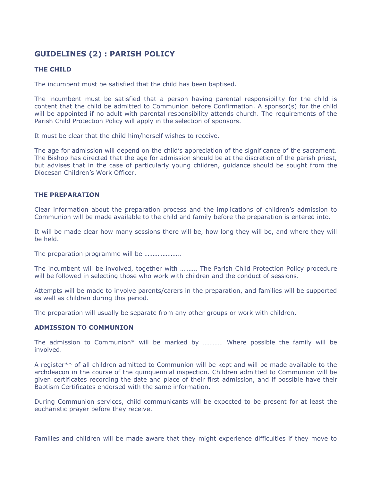# **GUIDELINES (2) : PARISH POLICY**

#### **THE CHILD**

The incumbent must be satisfied that the child has been baptised.

The incumbent must be satisfied that a person having parental responsibility for the child is content that the child be admitted to Communion before Confirmation. A sponsor(s) for the child will be appointed if no adult with parental responsibility attends church. The requirements of the Parish Child Protection Policy will apply in the selection of sponsors.

It must be clear that the child him/herself wishes to receive.

The age for admission will depend on the child's appreciation of the significance of the sacrament. The Bishop has directed that the age for admission should be at the discretion of the parish priest, but advises that in the case of particularly young children, guidance should be sought from the Diocesan Children's Work Officer.

#### **THE PREPARATION**

Clear information about the preparation process and the implications of children's admission to Communion will be made available to the child and family before the preparation is entered into.

It will be made clear how many sessions there will be, how long they will be, and where they will be held.

The preparation programme will be ………………….

The incumbent will be involved, together with ………. The Parish Child Protection Policy procedure will be followed in selecting those who work with children and the conduct of sessions.

Attempts will be made to involve parents/carers in the preparation, and families will be supported as well as children during this period.

The preparation will usually be separate from any other groups or work with children.

#### **ADMISSION TO COMMUNION**

The admission to Communion\* will be marked by ………… Where possible the family will be involved.

A register\*\* of all children admitted to Communion will be kept and will be made available to the archdeacon in the course of the quinquennial inspection. Children admitted to Communion will be given certificates recording the date and place of their first admission, and if possible have their Baptism Certificates endorsed with the same information.

During Communion services, child communicants will be expected to be present for at least the eucharistic prayer before they receive.

Families and children will be made aware that they might experience difficulties if they move to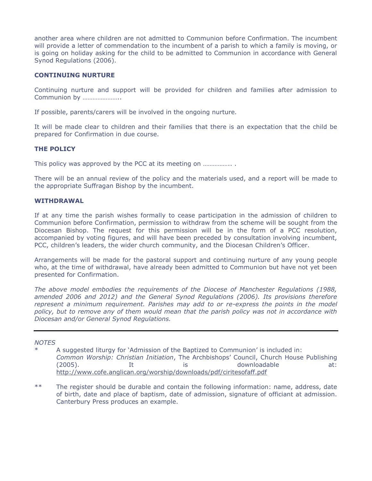another area where children are not admitted to Communion before Confirmation. The incumbent will provide a letter of commendation to the incumbent of a parish to which a family is moving, or is going on holiday asking for the child to be admitted to Communion in accordance with General Synod Regulations (2006).

#### **CONTINUING NURTURE**

Continuing nurture and support will be provided for children and families after admission to Communion by …………………..

If possible, parents/carers will be involved in the ongoing nurture*.*

It will be made clear to children and their families that there is an expectation that the child be prepared for Confirmation in due course.

#### **THE POLICY**

This policy was approved by the PCC at its meeting on ..................

There will be an annual review of the policy and the materials used, and a report will be made to the appropriate Suffragan Bishop by the incumbent.

#### **WITHDRAWAL**

If at any time the parish wishes formally to cease participation in the admission of children to Communion before Confirmation, permission to withdraw from the scheme will be sought from the Diocesan Bishop. The request for this permission will be in the form of a PCC resolution, accompanied by voting figures, and will have been preceded by consultation involving incumbent, PCC, children's leaders, the wider church community, and the Diocesan Children's Officer.

Arrangements will be made for the pastoral support and continuing nurture of any young people who, at the time of withdrawal, have already been admitted to Communion but have not yet been presented for Confirmation.

*The above model embodies the requirements of the Diocese of Manchester Regulations (1988, amended 2006 and 2012) and the General Synod Regulations (2006). Its provisions therefore*  represent a minimum requirement. Parishes may add to or re-express the points in the model *policy, but to remove any of them would mean that the parish policy was not in accordance with Diocesan and/or General Synod Regulations.*

#### *NOTES*

A suggested liturgy for 'Admission of the Baptized to Communion' is included in: *Common Worship: Christian Initiation*, The Archbishops' Council, Church House Publishing (2005). It is downloadable at: <http://www.cofe.anglican.org/worship/downloads/pdf/ciritesofaff.pdf>

\*\* The register should be durable and contain the following information: name, address, date of birth, date and place of baptism, date of admission, signature of officiant at admission. Canterbury Press produces an example.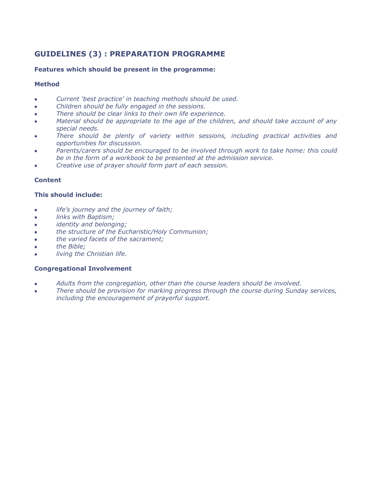# **GUIDELINES (3) : PREPARATION PROGRAMME**

### **Features which should be present in the programme:**

### **Method**

- *Current 'best practice' in teaching methods should be used.*
- *Children should be fully engaged in the sessions.*
- *There should be clear links to their own life experience.*
- *Material should be appropriate to the age of the children, and should take account of any special needs.*
- *There should be plenty of variety within sessions, including practical activities and opportunities for discussion.*
- *Parents/carers should be encouraged to be involved through work to take home: this could be in the form of a workbook to be presented at the admission service.*
- *Creative use of prayer should form part of each session.*

### **Content**

### **This should include:**

- *life's journey and the journey of faith;*
- *links with Baptism;*
- *identity and belonging;*
- *the structure of the Eucharistic/Holy Communion;*
- *the varied facets of the sacrament;*
- *the Bible;*
- *living the Christian life.*

#### **Congregational Involvement**

- *Adults from the congregation, other than the course leaders should be involved.*
- *There should be provision for marking progress through the course during Sunday services, including the encouragement of prayerful support.*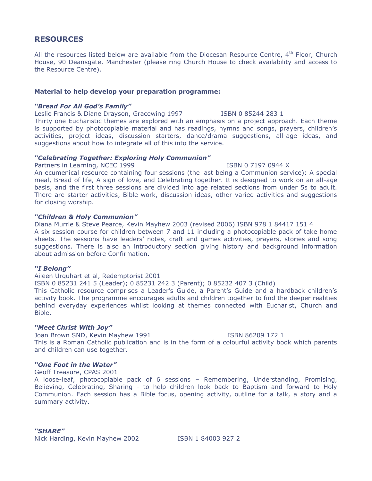## **RESOURCES**

All the resources listed below are available from the Diocesan Resource Centre,  $4<sup>th</sup>$  Floor, Church House, 90 Deansgate, Manchester (please ring Church House to check availability and access to the Resource Centre).

#### **Material to help develop your preparation programme:**

#### *"Bread For All God's Family"*

Leslie Francis & Diane Drayson, Gracewing 1997 [SBN 0 85244 283 1]

Thirty one Eucharistic themes are explored with an emphasis on a project approach. Each theme is supported by photocopiable material and has readings, hymns and songs, prayers, children's activities, project ideas, discussion starters, dance/drama suggestions, all-age ideas, and suggestions about how to integrate all of this into the service.

#### *"Celebrating Together: Exploring Holy Communion"*

Partners in Learning, NCEC 1999 **ISBN 0 7197 0944 X** 

An ecumenical resource containing four sessions (the last being a Communion service): A special meal, Bread of life, A sign of love, and Celebrating together. It is designed to work on an all-age basis, and the first three sessions are divided into age related sections from under 5s to adult. There are starter activities, Bible work, discussion ideas, other varied activities and suggestions for closing worship.

#### *"Children & Holy Communion"*

Diana Murrie & Steve Pearce, Kevin Mayhew 2003 (revised 2006) ISBN 978 1 84417 151 4 A six session course for children between 7 and 11 including a photocopiable pack of take home sheets. The sessions have leaders' notes, craft and games activities, prayers, stories and song suggestions. There is also an introductory section giving history and background information about admission before Confirmation.

#### *"I Belong"*

Aileen Urquhart et al, Redemptorist 2001 ISBN 0 85231 241 5 (Leader); 0 85231 242 3 (Parent); 0 85232 407 3 (Child) This Catholic resource comprises a Leader's Guide, a Parent's Guide and a hardback children's activity book. The programme encourages adults and children together to find the deeper realities behind everyday experiences whilst looking at themes connected with Eucharist, Church and Bible.

#### *"Meet Christ With Joy"*

Joan Brown SND, Kevin Mayhew 1991 **ISBN 86209 172 1** This is a Roman Catholic publication and is in the form of a colourful activity book which parents and children can use together.

#### *"One Foot in the Water"*

Geoff Treasure, CPAS 2001

A loose-leaf, photocopiable pack of 6 sessions – Remembering, Understanding, Promising, Believing, Celebrating, Sharing - to help children look back to Baptism and forward to Holy Communion. Each session has a Bible focus, opening activity, outline for a talk, a story and a summary activity.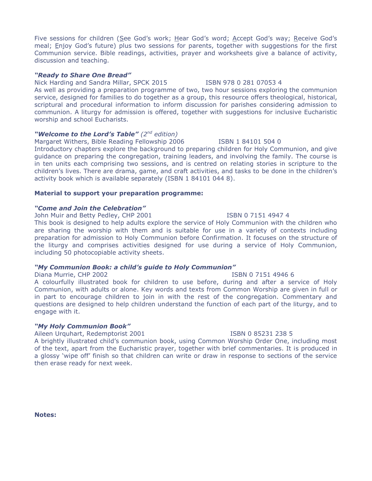Five sessions for children (See God's work; Hear God's word; Accept God's way; Receive God's meal; Enjoy God's future) plus two sessions for parents, together with suggestions for the first Communion service. Bible readings, activities, prayer and worksheets give a balance of activity, discussion and teaching.

## *"Ready to Share One Bread"*

Nick Harding and Sandra Millar, SPCK 2015 ISBN 978 0 281 07053 4 As well as providing a preparation programme of two, two hour sessions exploring the communion service, designed for families to do together as a group, this resource offers theological, historical, scriptural and procedural information to inform discussion for parishes considering admission to communion. A liturgy for admission is offered, together with suggestions for inclusive Eucharistic worship and school Eucharists.

# *"Welcome to the Lord's Table" (2nd edition)*

Margaret Withers, Bible Reading Fellowship 2006 ISBN 1841015040 Introductory chapters explore the background to preparing children for Holy Communion, and give guidance on preparing the congregation, training leaders, and involving the family. The course is in ten units each comprising two sessions, and is centred on relating stories in scripture to the children's lives. There are drama, game, and craft activities, and tasks to be done in the children's activity book which is available separately (ISBN 1 84101 044 8).

# **Material to support your preparation programme:**

# *"Come and Join the Celebration"*

John Muir and Betty Pedley, CHP 2001 **ISBN 0 7151 4947 4** 

This book is designed to help adults explore the service of Holy Communion with the children who are sharing the worship with them and is suitable for use in a variety of contexts including preparation for admission to Holy Communion before Confirmation. It focuses on the structure of the liturgy and comprises activities designed for use during a service of Holy Communion, including 50 photocopiable activity sheets.

# *"My Communion Book: a child's guide to Holy Communion"*

# Diana Murrie, CHP 2002 ISBN 0 7151 4946 6

A colourfully illustrated book for children to use before, during and after a service of Holy Communion, with adults or alone. Key words and texts from Common Worship are given in full or in part to encourage children to join in with the rest of the congregation. Commentary and questions are designed to help children understand the function of each part of the liturgy, and to engage with it.

# *"My Holy Communion Book"*

Aileen Urquhart, Redemptorist 2001 **ISBN 0 85231 238 5** 

A brightly illustrated child's communion book, using Common Worship Order One, including most of the text, apart from the Eucharistic prayer, together with brief commentaries. It is produced in a glossy 'wipe off' finish so that children can write or draw in response to sections of the service then erase ready for next week.

#### **Notes:**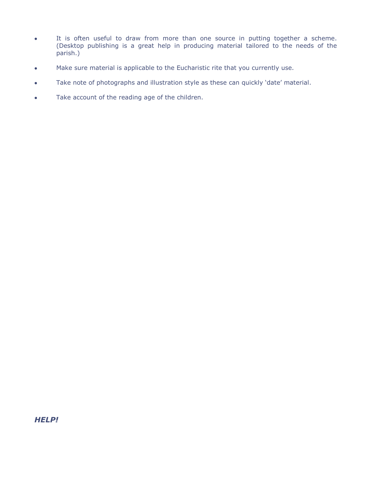- It is often useful to draw from more than one source in putting together a scheme. (Desktop publishing is a great help in producing material tailored to the needs of the parish.)
- Make sure material is applicable to the Eucharistic rite that you currently use.
- Take note of photographs and illustration style as these can quickly 'date' material.
- Take account of the reading age of the children.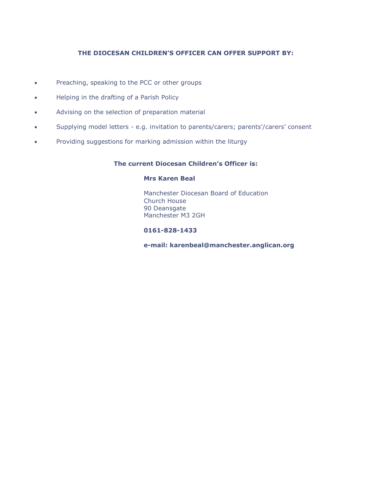### **THE DIOCESAN CHILDREN'S OFFICER CAN OFFER SUPPORT BY:**

- Preaching, speaking to the PCC or other groups
- Helping in the drafting of a Parish Policy
- Advising on the selection of preparation material
- Supplying model letters e.g. invitation to parents/carers; parents'/carers' consent
- Providing suggestions for marking admission within the liturgy

### **The current Diocesan Children's Officer is:**

#### **Mrs Karen Beal**

Manchester Diocesan Board of Education Church House 90 Deansgate Manchester M3 2GH

#### **0161-828-1433**

**e-mail: karenbeal@manchester.anglican.org**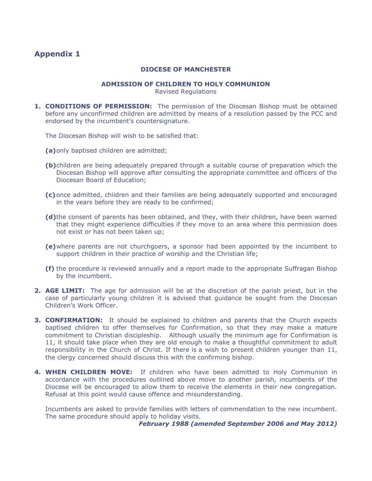# **Appendix 1**

#### **DIOCESE OF MANCHESTER**

#### **ADMISSION OF CHILDREN TO HOLY COMMUNION**

Revised Regulations

**1. CONDITIONS OF PERMISSION:** The permission of the Diocesan Bishop must be obtained before any unconfirmed children are admitted by means of a resolution passed by the PCC and endorsed by the incumbent's countersignature.

The Diocesan Bishop will wish to be satisfied that:

**(a)**only baptised children are admitted;

- **(b)**children are being adequately prepared through a suitable course of preparation which the Diocesan Bishop will approve after consulting the appropriate committee and officers of the Diocesan Board of Education;
- **(c)**once admitted, children and their families are being adequately supported and encouraged in the years before they are ready to be confirmed;
- **(d)**the consent of parents has been obtained, and they, with their children, have been warned that they might experience difficulties if they move to an area where this permission does not exist or has not been taken up;
- **(e)**where parents are not churchgoers, a sponsor had been appointed by the incumbent to support children in their practice of worship and the Christian life;
- **(f)** the procedure is reviewed annually and a report made to the appropriate Suffragan Bishop by the incumbent.
- **2. AGE LIMIT:** The age for admission will be at the discretion of the parish priest, but in the case of particularly young children it is advised that guidance be sought from the Diocesan Children's Work Officer.
- **3. CONFIRMATION:** It should be explained to children and parents that the Church expects baptised children to offer themselves for Confirmation, so that they may make a mature commitment to Christian discipleship. Although usually the minimum age for Confirmation is 11, it should take place when they are old enough to make a thoughtful commitment to adult responsibility in the Church of Christ. If there is a wish to present children younger than 11, the clergy concerned should discuss this with the confirming bishop.
- **4. WHEN CHILDREN MOVE:** If children who have been admitted to Holy Communion in accordance with the procedures outlined above move to another parish, incumbents of the Diocese will be encouraged to allow them to receive the elements in their new congregation. Refusal at this point would cause offence and misunderstanding.

Incumbents are asked to provide families with letters of commendation to the new incumbent. The same procedure should apply to holiday visits.

*February 1988 (amended September 2006 and May 2012)*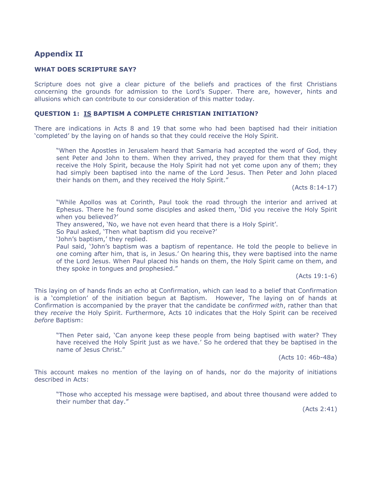# **Appendix II**

#### **WHAT DOES SCRIPTURE SAY?**

Scripture does not give a clear picture of the beliefs and practices of the first Christians concerning the grounds for admission to the Lord's Supper. There are, however, hints and allusions which can contribute to our consideration of this matter today.

#### **QUESTION 1: IS BAPTISM A COMPLETE CHRISTIAN INITIATION?**

There are indications in Acts 8 and 19 that some who had been baptised had their initiation 'completed' by the laying on of hands so that they could receive the Holy Spirit.

"When the Apostles in Jerusalem heard that Samaria had accepted the word of God, they sent Peter and John to them. When they arrived, they prayed for them that they might receive the Holy Spirit, because the Holy Spirit had not yet come upon any of them; they had simply been baptised into the name of the Lord Jesus. Then Peter and John placed their hands on them, and they received the Holy Spirit."

(Acts 8:14-17)

"While Apollos was at Corinth, Paul took the road through the interior and arrived at Ephesus. There he found some disciples and asked them, 'Did you receive the Holy Spirit when you believed?'

They answered, 'No, we have not even heard that there is a Holy Spirit'.

So Paul asked, 'Then what baptism did you receive?'

'John's baptism,' they replied.

Paul said, 'John's baptism was a baptism of repentance. He told the people to believe in one coming after him, that is, in Jesus.' On hearing this, they were baptised into the name of the Lord Jesus. When Paul placed his hands on them, the Holy Spirit came on them, and they spoke in tongues and prophesied."

(Acts 19:1-6)

This laying on of hands finds an echo at Confirmation, which can lead to a belief that Confirmation is a 'completion' of the initiation begun at Baptism. However, The laying on of hands at Confirmation is accompanied by the prayer that the candidate be *confirmed with*, rather than that they *receive* the Holy Spirit. Furthermore, Acts 10 indicates that the Holy Spirit can be received *before* Baptism:

"Then Peter said, 'Can anyone keep these people from being baptised with water? They have received the Holy Spirit just as we have.' So he ordered that they be baptised in the name of Jesus Christ."

(Acts 10: 46b-48a)

This account makes no mention of the laying on of hands, nor do the majority of initiations described in Acts:

"Those who accepted his message were baptised, and about three thousand were added to their number that day."

(Acts 2:41)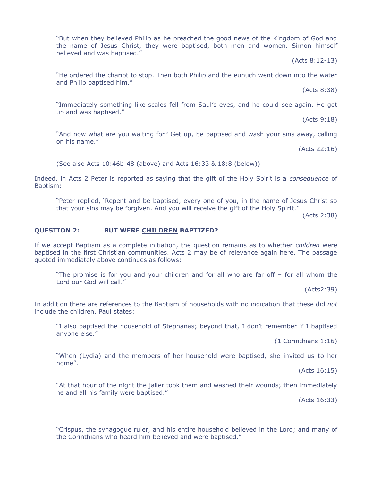"But when they believed Philip as he preached the good news of the Kingdom of God and the name of Jesus Christ, they were baptised, both men and women. Simon himself believed and was baptised."

(Acts 8:12-13)

"He ordered the chariot to stop. Then both Philip and the eunuch went down into the water and Philip baptised him."

(Acts 8:38)

"Immediately something like scales fell from Saul's eyes, and he could see again. He got up and was baptised."

(Acts 9:18)

"And now what are you waiting for? Get up, be baptised and wash your sins away, calling on his name."

(Acts 22:16)

(See also Acts 10:46b-48 (above) and Acts 16:33 & 18:8 (below))

Indeed, in Acts 2 Peter is reported as saying that the gift of the Holy Spirit is a *consequence* of Baptism:

"Peter replied, 'Repent and be baptised, every one of you, in the name of Jesus Christ so that your sins may be forgiven. And you will receive the gift of the Holy Spirit.'"

(Acts 2:38)

#### **QUESTION 2: BUT WERE CHILDREN BAPTIZED?**

If we accept Baptism as a complete initiation, the question remains as to whether *children* were baptised in the first Christian communities. Acts 2 may be of relevance again here. The passage quoted immediately above continues as follows:

"The promise is for you and your children and for all who are far off – for all whom the Lord our God will call."

(Acts2:39)

In addition there are references to the Baptism of households with no indication that these did *not* include the children. Paul states:

"I also baptised the household of Stephanas; beyond that, I don't remember if I baptised anyone else."

(1 Corinthians 1:16)

"When (Lydia) and the members of her household were baptised, she invited us to her home".

(Acts 16:15)

"At that hour of the night the jailer took them and washed their wounds; then immediately he and all his family were baptised."

(Acts 16:33)

"Crispus, the synagogue ruler, and his entire household believed in the Lord; and many of the Corinthians who heard him believed and were baptised."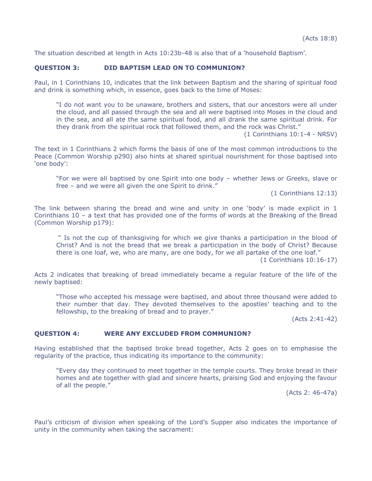The situation described at length in Acts 10:23b-48 is also that of a 'household Baptism'.

#### **QUESTION 3: DID BAPTISM LEAD ON TO COMMUNION?**

Paul, in 1 Corinthians 10, indicates that the link between Baptism and the sharing of spiritual food and drink is something which, in essence, goes back to the time of Moses:

"I do not want you to be unaware, brothers and sisters, that our ancestors were all under the cloud, and all passed through the sea and all were baptised into Moses in the cloud and in the sea, and all ate the same spiritual food, and all drank the same spiritual drink. For they drank from the spiritual rock that followed them, and the rock was Christ."

(1 Corinthians 10:1-4 - NRSV)

The text in 1 Corinthians 2 which forms the basis of one of the most common introductions to the Peace (Common Worship p290) also hints at shared spiritual nourishment for those baptised into 'one body':

"For we were all baptised by one Spirit into one body – whether Jews or Greeks, slave or free – and we were all given the one Spirit to drink."

(1 Corinthians 12:13)

The link between sharing the bread and wine and unity in one 'body' is made explicit in 1 Corinthians 10 – a text that has provided one of the forms of words at the Breaking of the Bread (Common Worship p179):

" Is not the cup of thanksgiving for which we give thanks a participation in the blood of Christ? And is not the bread that we break a participation in the body of Christ? Because there is one loaf, we, who are many, are one body, for we all partake of the one loaf."

(1 Corinthians 10:16-17)

Acts 2 indicates that breaking of bread immediately became a regular feature of the life of the newly baptised:

"Those who accepted his message were baptised, and about three thousand were added to their number that day. They devoted themselves to the apostles' teaching and to the fellowship, to the breaking of bread and to prayer."

(Acts 2:41-42)

#### **QUESTION 4: WERE ANY EXCLUDED FROM COMMUNION?**

Having established that the baptised broke bread together, Acts 2 goes on to emphasise the regularity of the practice, thus indicating its importance to the community:

"Every day they continued to meet together in the temple courts. They broke bread in their homes and ate together with glad and sincere hearts, praising God and enjoying the favour of all the people."

(Acts 2: 46-47a)

Paul's criticism of division when speaking of the Lord's Supper also indicates the importance of unity in the community when taking the sacrament: